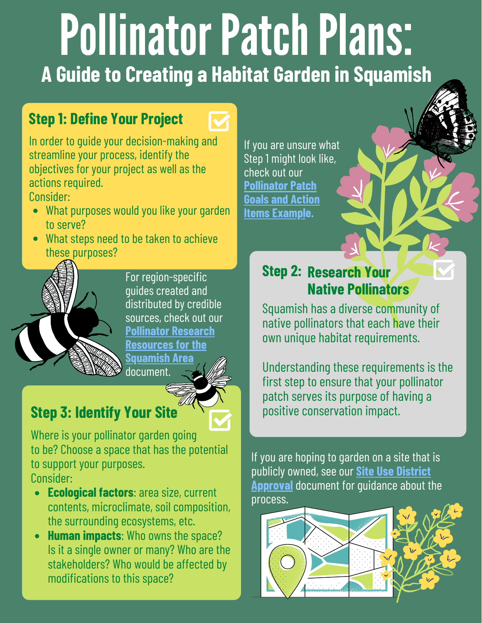# Pollinator Patch Plans: A Guide to Creating a Habitat Garden in Squamish

#### **Step 1: Define Your Project**



In order to guide your decision-making and streamline your process, identify the objectives for your project as well as the actions required.

Consider:

- What purposes would you like your garden to serve?
- What steps need to be taken to achieve these purposes?



For region-specific quides created and distributed by credible sources, check out our **Pollinator Research Resources for the** <u>Squamish Area</u> document.

### **Step 3: Identify Your Site**

Where is your pollinator garden going to be? Choose a space that has the potential to support your purposes. Consider:

- Ecological factors: area size, current contents, microclimate, soil composition, the surrounding ecosystems, etc.
- Human impacts: Who owns the space? Is it a single owner or many? Who are the stakeholders? Who would be affected by modifications to this space?

If you are unsure what Step 1 might look like, check out our **Pollinator Patch Goals and Action Items Example.** 

#### **Step 2: Research Your Native Pollinators**

Squamish has a diverse community of native pollinators that each have their own unique habitat requirements.

Understanding these requirements is the first step to ensure that your pollinator patch serves its purpose of having a positive conservation impact.

If you are hoping to garden on a site that is publicly owned, see our Site Use District **Approval** document for quidance about the process.